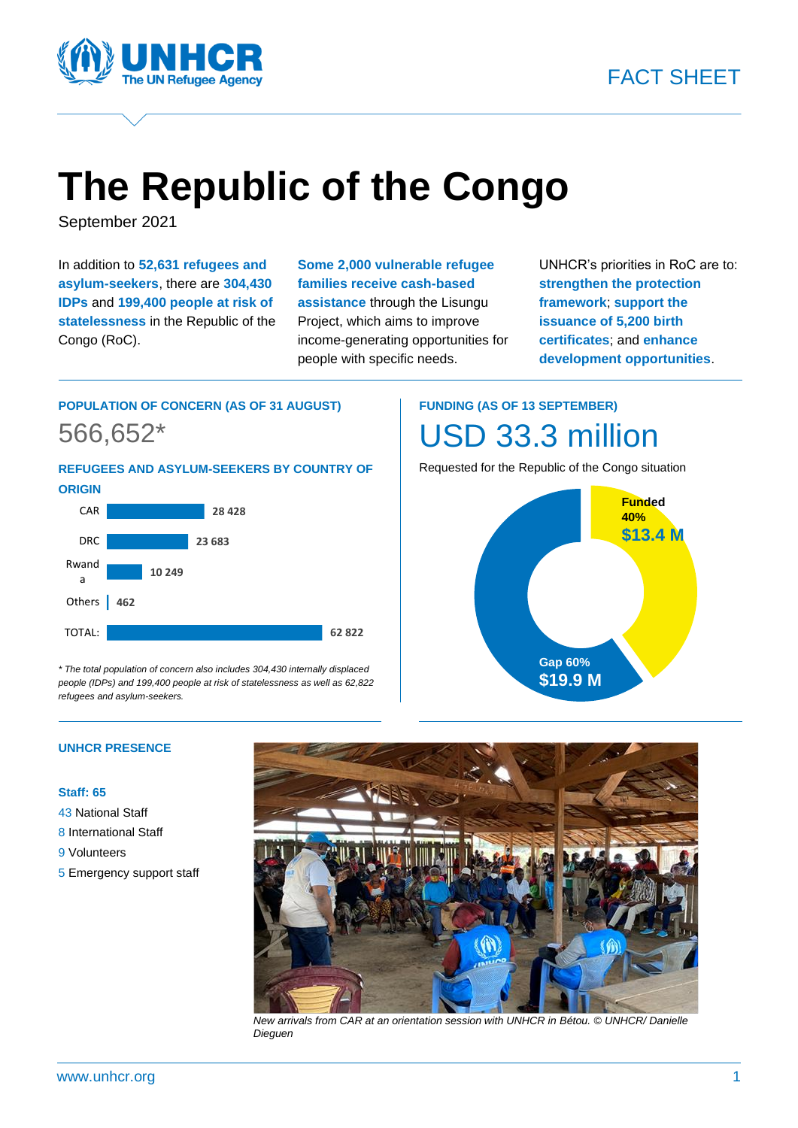

# **The Republic of the Congo**

September 2021

In addition to **52,631 refugees and asylum-seekers**, there are **304,430 IDPs** and **199,400 people at risk of statelessness** in the Republic of the Congo (RoC).

**Some 2,000 vulnerable refugee families receive cash-based assistance** through the Lisungu Project, which aims to improve income-generating opportunities for people with specific needs.

UNHCR's priorities in RoC are to: **strengthen the protection framework**; **support the issuance of 5,200 birth certificates**; and **enhance development opportunities**.

### **POPULATION OF CONCERN (AS OF 31 AUGUST)** 566,652\*

**REFUGEES AND ASYLUM-SEEKERS BY COUNTRY OF ORIGIN**



*\* The total population of concern also includes 304,430 internally displaced people (IDPs) and 199,400 people at risk of statelessness as well as 62,822 refugees and asylum-seekers.*

## **FUNDING (AS OF 13 SEPTEMBER)** USD 33.3 million

Requested for the Republic of the Congo situation



#### **UNHCR PRESENCE**

#### **Staff: 65**

- 43 National Staff
- 8 International Staff
- 9 Volunteers
- 5 Emergency support staff



*New arrivals from CAR at an orientation session with UNHCR in Bétou. © UNHCR/ Danielle Dieguen*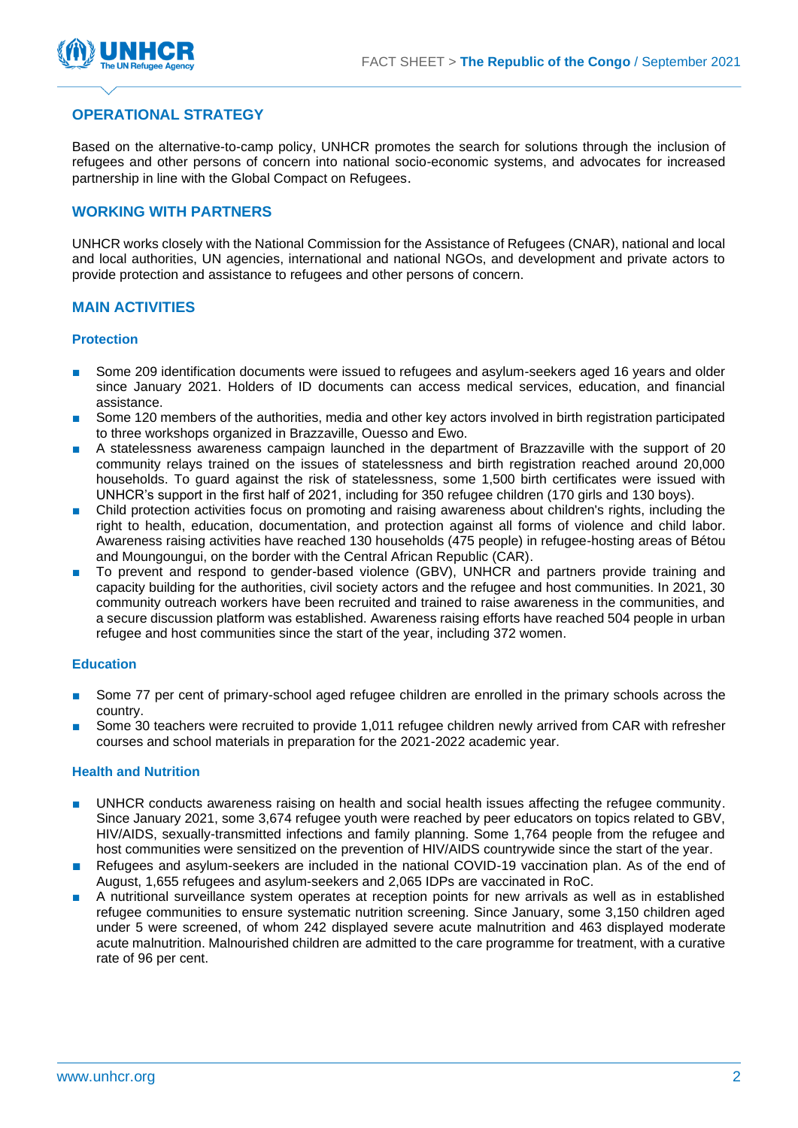

#### **OPERATIONAL STRATEGY**

Based on the alternative-to-camp policy, UNHCR promotes the search for solutions through the inclusion of refugees and other persons of concern into national socio-economic systems, and advocates for increased partnership in line with the Global Compact on Refugees.

#### **WORKING WITH PARTNERS**

UNHCR works closely with the National Commission for the Assistance of Refugees (CNAR), national and local and local authorities, UN agencies, international and national NGOs, and development and private actors to provide protection and assistance to refugees and other persons of concern.

#### **MAIN ACTIVITIES**

#### **Protection**

- Some 209 identification documents were issued to refugees and asylum-seekers aged 16 years and older since January 2021. Holders of ID documents can access medical services, education, and financial assistance.
- Some 120 members of the authorities, media and other key actors involved in birth registration participated to three workshops organized in Brazzaville, Ouesso and Ewo.
- A statelessness awareness campaign launched in the department of Brazzaville with the support of 20 community relays trained on the issues of statelessness and birth registration reached around 20,000 households. To guard against the risk of statelessness, some 1,500 birth certificates were issued with UNHCR's support in the first half of 2021, including for 350 refugee children (170 girls and 130 boys).
- Child protection activities focus on promoting and raising awareness about children's rights, including the right to health, education, documentation, and protection against all forms of violence and child labor. Awareness raising activities have reached 130 households (475 people) in refugee-hosting areas of Bétou and Moungoungui, on the border with the Central African Republic (CAR).
- To prevent and respond to gender-based violence (GBV), UNHCR and partners provide training and capacity building for the authorities, civil society actors and the refugee and host communities. In 2021, 30 community outreach workers have been recruited and trained to raise awareness in the communities, and a secure discussion platform was established. Awareness raising efforts have reached 504 people in urban refugee and host communities since the start of the year, including 372 women.

#### **Education**

- Some 77 per cent of primary-school aged refugee children are enrolled in the primary schools across the country.
- Some 30 teachers were recruited to provide 1,011 refugee children newly arrived from CAR with refresher courses and school materials in preparation for the 2021-2022 academic year.

#### **Health and Nutrition**

- UNHCR conducts awareness raising on health and social health issues affecting the refugee community. Since January 2021, some 3,674 refugee youth were reached by peer educators on topics related to GBV, HIV/AIDS, sexually-transmitted infections and family planning. Some 1,764 people from the refugee and host communities were sensitized on the prevention of HIV/AIDS countrywide since the start of the year.
- Refugees and asylum-seekers are included in the national COVID-19 vaccination plan. As of the end of August, 1,655 refugees and asylum-seekers and 2,065 IDPs are vaccinated in RoC.
- A nutritional surveillance system operates at reception points for new arrivals as well as in established refugee communities to ensure systematic nutrition screening. Since January, some 3,150 children aged under 5 were screened, of whom 242 displayed severe acute malnutrition and 463 displayed moderate acute malnutrition. Malnourished children are admitted to the care programme for treatment, with a curative rate of 96 per cent.